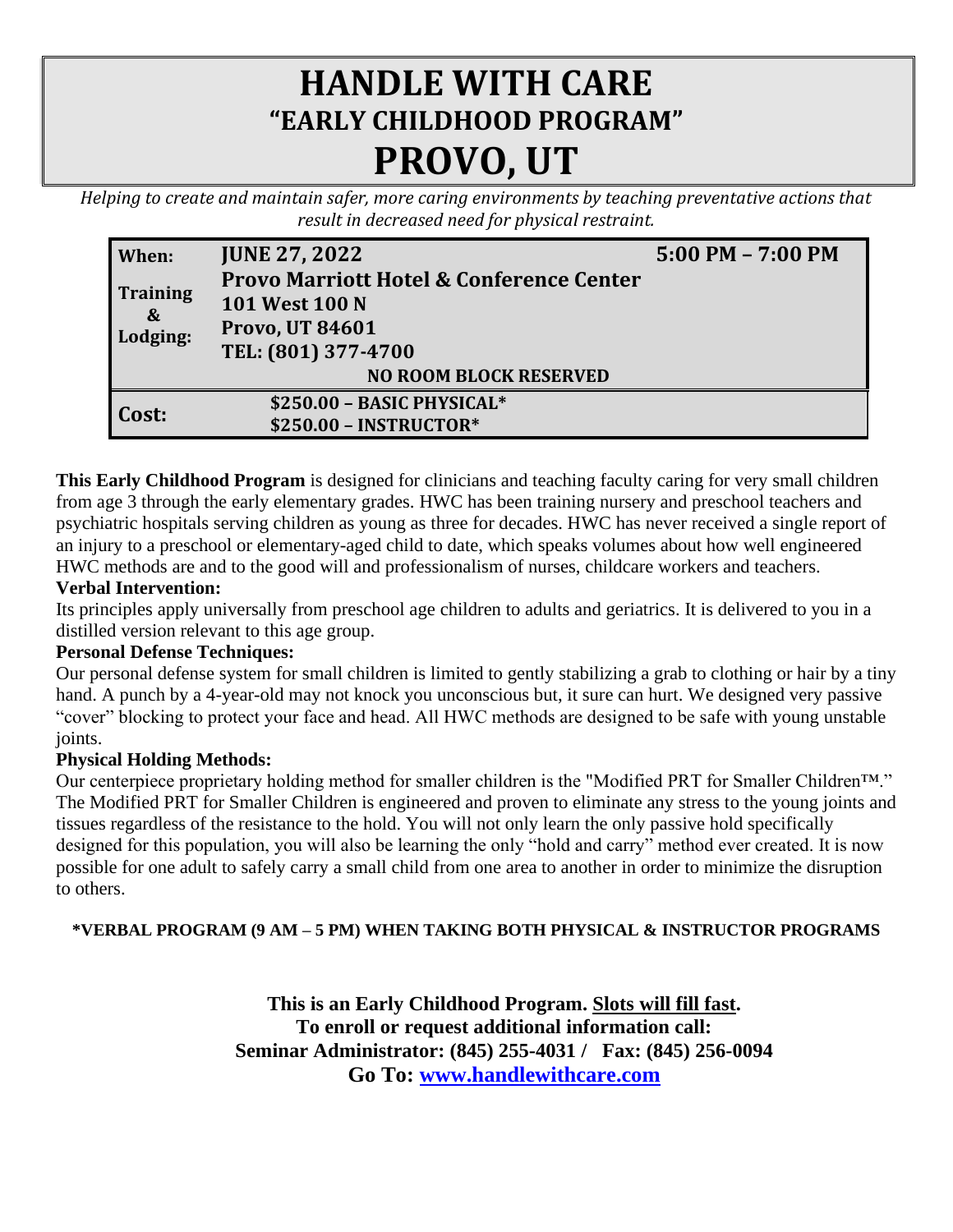# **HANDLE WITH CARE "EARLY CHILDHOOD PROGRAM" PROVO, UT**

*Helping to create and maintain safer, more caring environments by teaching preventative actions that result in decreased need for physical restraint.*

| When:                                            | <b>JUNE 27, 2022</b>                                                                                   | $5:00$ PM $- 7:00$ PM |  |  |  |
|--------------------------------------------------|--------------------------------------------------------------------------------------------------------|-----------------------|--|--|--|
| <b>Training</b><br>$\boldsymbol{\&}$<br>Lodging: | <b>Provo Marriott Hotel &amp; Conference Center</b><br><b>101 West 100 N</b><br><b>Provo, UT 84601</b> |                       |  |  |  |
|                                                  | TEL: (801) 377-4700                                                                                    |                       |  |  |  |
| <b>NO ROOM BLOCK RESERVED</b>                    |                                                                                                        |                       |  |  |  |
| Cost:                                            | \$250.00 - BASIC PHYSICAL*                                                                             |                       |  |  |  |
|                                                  | $$250.00 - INSTRUCTOR*$                                                                                |                       |  |  |  |

**This Early Childhood Program** is designed for clinicians and teaching faculty caring for very small children from age 3 through the early elementary grades. HWC has been training nursery and preschool teachers and psychiatric hospitals serving children as young as three for decades. HWC has never received a single report of an injury to a preschool or elementary-aged child to date, which speaks volumes about how well engineered HWC methods are and to the good will and professionalism of nurses, childcare workers and teachers.

## **Verbal Intervention:**

Its principles apply universally from preschool age children to adults and geriatrics. It is delivered to you in a distilled version relevant to this age group.

### **Personal Defense Techniques:**

Our personal defense system for small children is limited to gently stabilizing a grab to clothing or hair by a tiny hand. A punch by a 4-year-old may not knock you unconscious but, it sure can hurt. We designed very passive "cover" blocking to protect your face and head. All HWC methods are designed to be safe with young unstable joints.

### **Physical Holding Methods:**

Our centerpiece proprietary holding method for smaller children is the "Modified PRT for Smaller Children™." The Modified PRT for Smaller Children is engineered and proven to eliminate any stress to the young joints and tissues regardless of the resistance to the hold. You will not only learn the only passive hold specifically designed for this population, you will also be learning the only "hold and carry" method ever created. It is now possible for one adult to safely carry a small child from one area to another in order to minimize the disruption to others.

### **\*VERBAL PROGRAM (9 AM – 5 PM) WHEN TAKING BOTH PHYSICAL & INSTRUCTOR PROGRAMS**

**This is an Early Childhood Program. Slots will fill fast. To enroll or request additional information call: Seminar Administrator: (845) 255-4031 / Fax: (845) 256-0094 Go To: [www.handlewithcare.com](http://www.handlewithcare.com/)**